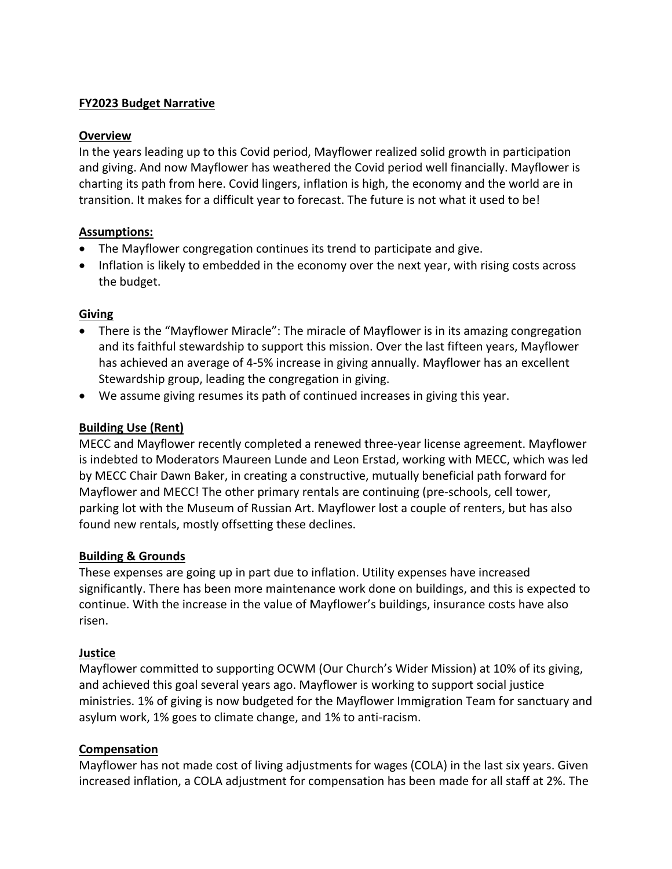### **FY2023 Budget Narrative**

#### **Overview**

In the years leading up to this Covid period, Mayflower realized solid growth in participation and giving. And now Mayflower has weathered the Covid period well financially. Mayflower is charting its path from here. Covid lingers, inflation is high, the economy and the world are in transition. It makes for a difficult year to forecast. The future is not what it used to be!

## **Assumptions:**

- The Mayflower congregation continues its trend to participate and give.
- Inflation is likely to embedded in the economy over the next year, with rising costs across the budget.

#### **Giving**

- There is the "Mayflower Miracle": The miracle of Mayflower is in its amazing congregation and its faithful stewardship to support this mission. Over the last fifteen years, Mayflower has achieved an average of 4-5% increase in giving annually. Mayflower has an excellent Stewardship group, leading the congregation in giving.
- We assume giving resumes its path of continued increases in giving this year.

## **Building Use (Rent)**

MECC and Mayflower recently completed a renewed three-year license agreement. Mayflower is indebted to Moderators Maureen Lunde and Leon Erstad, working with MECC, which was led by MECC Chair Dawn Baker, in creating a constructive, mutually beneficial path forward for Mayflower and MECC! The other primary rentals are continuing (pre-schools, cell tower, parking lot with the Museum of Russian Art. Mayflower lost a couple of renters, but has also found new rentals, mostly offsetting these declines.

#### **Building & Grounds**

These expenses are going up in part due to inflation. Utility expenses have increased significantly. There has been more maintenance work done on buildings, and this is expected to continue. With the increase in the value of Mayflower's buildings, insurance costs have also risen.

#### **Justice**

Mayflower committed to supporting OCWM (Our Church's Wider Mission) at 10% of its giving, and achieved this goal several years ago. Mayflower is working to support social justice ministries. 1% of giving is now budgeted for the Mayflower Immigration Team for sanctuary and asylum work, 1% goes to climate change, and 1% to anti-racism.

#### **Compensation**

Mayflower has not made cost of living adjustments for wages (COLA) in the last six years. Given increased inflation, a COLA adjustment for compensation has been made for all staff at 2%. The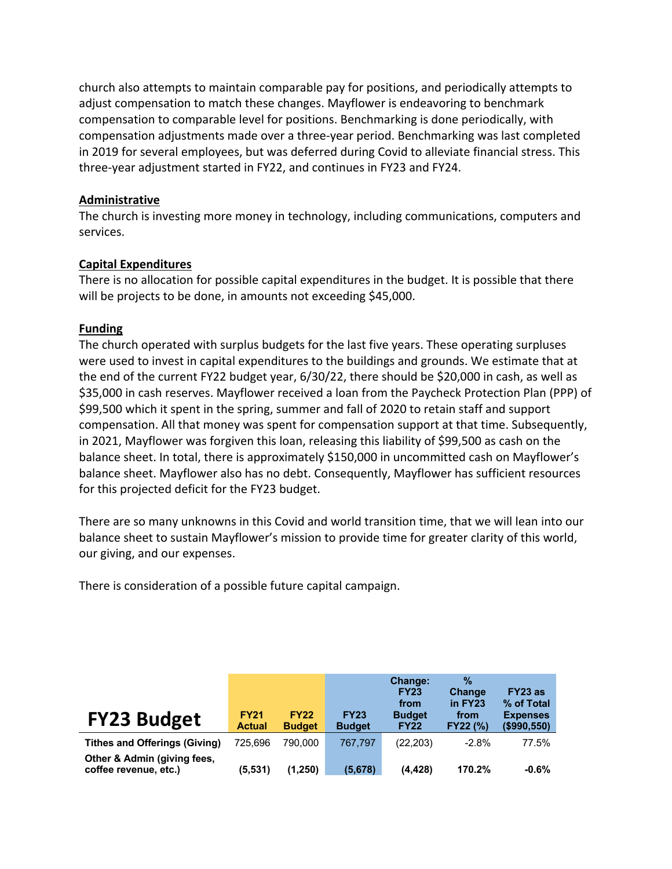church also attempts to maintain comparable pay for positions, and periodically attempts to adjust compensation to match these changes. Mayflower is endeavoring to benchmark compensation to comparable level for positions. Benchmarking is done periodically, with compensation adjustments made over a three-year period. Benchmarking was last completed in 2019 for several employees, but was deferred during Covid to alleviate financial stress. This three-year adjustment started in FY22, and continues in FY23 and FY24.

#### **Administrative**

The church is investing more money in technology, including communications, computers and services.

#### **Capital Expenditures**

There is no allocation for possible capital expenditures in the budget. It is possible that there will be projects to be done, in amounts not exceeding \$45,000.

#### **Funding**

The church operated with surplus budgets for the last five years. These operating surpluses were used to invest in capital expenditures to the buildings and grounds. We estimate that at the end of the current FY22 budget year, 6/30/22, there should be \$20,000 in cash, as well as \$35,000 in cash reserves. Mayflower received a loan from the Paycheck Protection Plan (PPP) of \$99,500 which it spent in the spring, summer and fall of 2020 to retain staff and support compensation. All that money was spent for compensation support at that time. Subsequently, in 2021, Mayflower was forgiven this loan, releasing this liability of \$99,500 as cash on the balance sheet. In total, there is approximately \$150,000 in uncommitted cash on Mayflower's balance sheet. Mayflower also has no debt. Consequently, Mayflower has sufficient resources for this projected deficit for the FY23 budget.

There are so many unknowns in this Covid and world transition time, that we will lean into our balance sheet to sustain Mayflower's mission to provide time for greater clarity of this world, our giving, and our expenses.

There is consideration of a possible future capital campaign.

|                                                      |                              |                              |                              | <b>Change:</b><br><b>FY23</b><br>from | $\%$<br><b>Change</b><br>in FY23 | FY23 as<br>% of Total             |
|------------------------------------------------------|------------------------------|------------------------------|------------------------------|---------------------------------------|----------------------------------|-----------------------------------|
| <b>FY23 Budget</b>                                   | <b>FY21</b><br><b>Actual</b> | <b>FY22</b><br><b>Budget</b> | <b>FY23</b><br><b>Budget</b> | <b>Budget</b><br><b>FY22</b>          | from<br><b>FY22 (%)</b>          | <b>Expenses</b><br>$($ \$990,550) |
| <b>Tithes and Offerings (Giving)</b>                 | 725.696                      | 790.000                      | 767.797                      | (22, 203)                             | $-2.8%$                          | 77.5%                             |
| Other & Admin (giving fees,<br>coffee revenue, etc.) | (5,531)                      | (1,250)                      | (5,678)                      | (4, 428)                              | 170.2%                           | $-0.6%$                           |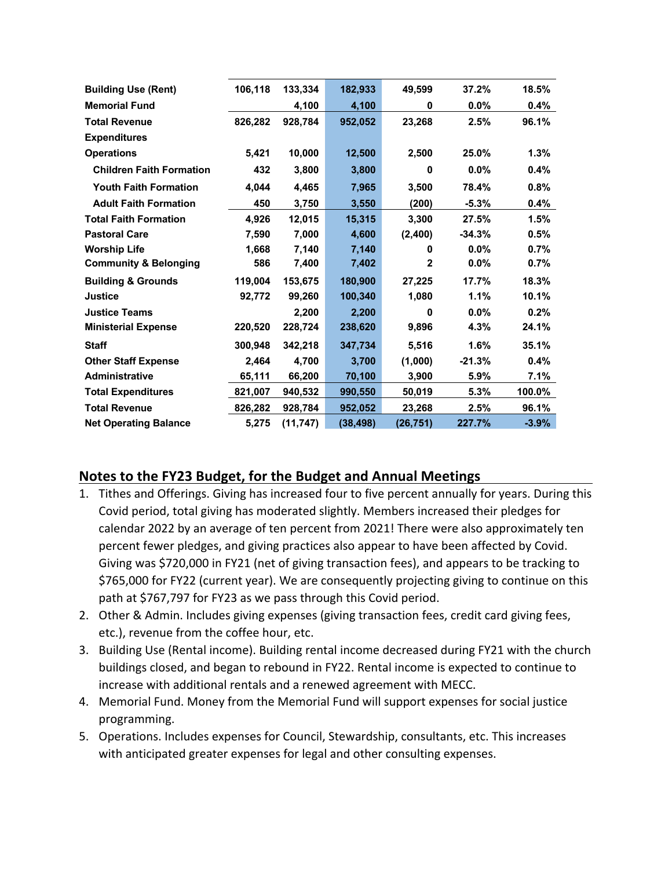| <b>Building Use (Rent)</b>       | 106,118 | 133,334   | 182,933   | 49,599       | 37.2%    | 18.5%   |
|----------------------------------|---------|-----------|-----------|--------------|----------|---------|
| <b>Memorial Fund</b>             |         | 4,100     | 4,100     | 0            | 0.0%     | 0.4%    |
| <b>Total Revenue</b>             | 826,282 | 928,784   | 952,052   | 23,268       | 2.5%     | 96.1%   |
| <b>Expenditures</b>              |         |           |           |              |          |         |
| <b>Operations</b>                | 5,421   | 10,000    | 12,500    | 2,500        | 25.0%    | 1.3%    |
| <b>Children Faith Formation</b>  | 432     | 3,800     | 3,800     | 0            | 0.0%     | 0.4%    |
| <b>Youth Faith Formation</b>     | 4.044   | 4.465     | 7.965     | 3,500        | 78.4%    | 0.8%    |
| <b>Adult Faith Formation</b>     | 450     | 3,750     | 3,550     | (200)        | $-5.3%$  | 0.4%    |
| <b>Total Faith Formation</b>     | 4,926   | 12,015    | 15,315    | 3,300        | 27.5%    | 1.5%    |
| <b>Pastoral Care</b>             | 7.590   | 7,000     | 4,600     | (2,400)      | $-34.3%$ | 0.5%    |
| <b>Worship Life</b>              | 1,668   | 7,140     | 7,140     | 0            | $0.0\%$  | 0.7%    |
| <b>Community &amp; Belonging</b> | 586     | 7,400     | 7,402     | $\mathbf{2}$ | $0.0\%$  | 0.7%    |
| <b>Building &amp; Grounds</b>    | 119,004 | 153,675   | 180,900   | 27,225       | 17.7%    | 18.3%   |
| <b>Justice</b>                   | 92,772  | 99,260    | 100,340   | 1,080        | 1.1%     | 10.1%   |
| <b>Justice Teams</b>             |         | 2,200     | 2,200     | 0            | 0.0%     | 0.2%    |
| <b>Ministerial Expense</b>       | 220,520 | 228,724   | 238,620   | 9,896        | 4.3%     | 24.1%   |
| <b>Staff</b>                     | 300.948 | 342.218   | 347,734   | 5.516        | 1.6%     | 35.1%   |
| <b>Other Staff Expense</b>       | 2,464   | 4.700     | 3,700     | (1,000)      | $-21.3%$ | 0.4%    |
| <b>Administrative</b>            | 65,111  | 66,200    | 70,100    | 3,900        | 5.9%     | 7.1%    |
| <b>Total Expenditures</b>        | 821,007 | 940,532   | 990,550   | 50,019       | 5.3%     | 100.0%  |
| <b>Total Revenue</b>             | 826,282 | 928,784   | 952,052   | 23,268       | 2.5%     | 96.1%   |
| <b>Net Operating Balance</b>     | 5,275   | (11, 747) | (38, 498) | (26, 751)    | 227.7%   | $-3.9%$ |

# **Notes to the FY23 Budget, for the Budget and Annual Meetings**

- 1. Tithes and Offerings. Giving has increased four to five percent annually for years. During this Covid period, total giving has moderated slightly. Members increased their pledges for calendar 2022 by an average of ten percent from 2021! There were also approximately ten percent fewer pledges, and giving practices also appear to have been affected by Covid. Giving was \$720,000 in FY21 (net of giving transaction fees), and appears to be tracking to \$765,000 for FY22 (current year). We are consequently projecting giving to continue on this path at \$767,797 for FY23 as we pass through this Covid period.
- 2. Other & Admin. Includes giving expenses (giving transaction fees, credit card giving fees, etc.), revenue from the coffee hour, etc.
- 3. Building Use (Rental income). Building rental income decreased during FY21 with the church buildings closed, and began to rebound in FY22. Rental income is expected to continue to increase with additional rentals and a renewed agreement with MECC.
- 4. Memorial Fund. Money from the Memorial Fund will support expenses for social justice programming.
- 5. Operations. Includes expenses for Council, Stewardship, consultants, etc. This increases with anticipated greater expenses for legal and other consulting expenses.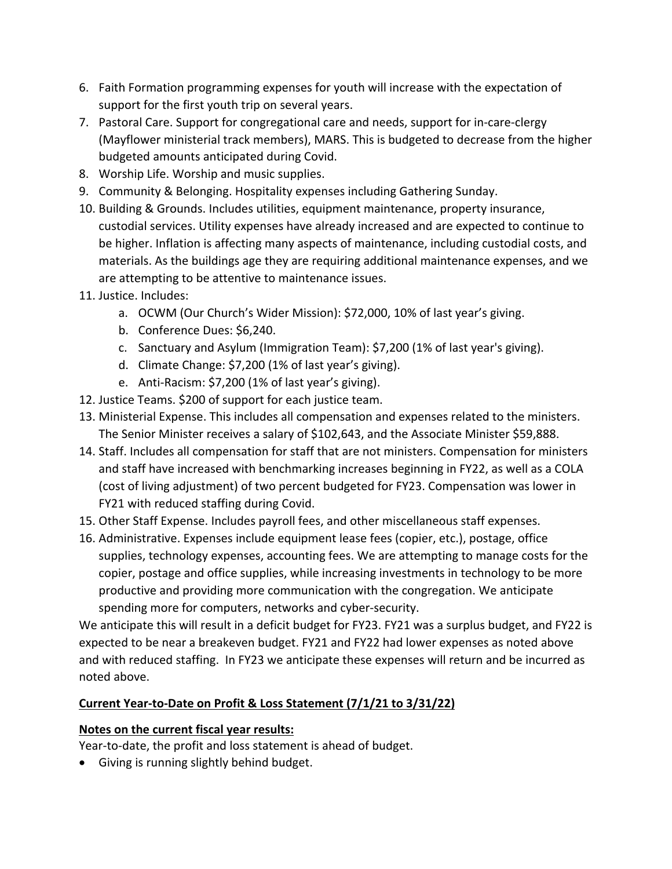- 6. Faith Formation programming expenses for youth will increase with the expectation of support for the first youth trip on several years.
- 7. Pastoral Care. Support for congregational care and needs, support for in-care-clergy (Mayflower ministerial track members), MARS. This is budgeted to decrease from the higher budgeted amounts anticipated during Covid.
- 8. Worship Life. Worship and music supplies.
- 9. Community & Belonging. Hospitality expenses including Gathering Sunday.
- 10. Building & Grounds. Includes utilities, equipment maintenance, property insurance, custodial services. Utility expenses have already increased and are expected to continue to be higher. Inflation is affecting many aspects of maintenance, including custodial costs, and materials. As the buildings age they are requiring additional maintenance expenses, and we are attempting to be attentive to maintenance issues.
- 11. Justice. Includes:
	- a. OCWM (Our Church's Wider Mission): \$72,000, 10% of last year's giving.
	- b. Conference Dues: \$6,240.
	- c. Sanctuary and Asylum (Immigration Team): \$7,200 (1% of last year's giving).
	- d. Climate Change: \$7,200 (1% of last year's giving).
	- e. Anti-Racism: \$7,200 (1% of last year's giving).
- 12. Justice Teams. \$200 of support for each justice team.
- 13. Ministerial Expense. This includes all compensation and expenses related to the ministers. The Senior Minister receives a salary of \$102,643, and the Associate Minister \$59,888.
- 14. Staff. Includes all compensation for staff that are not ministers. Compensation for ministers and staff have increased with benchmarking increases beginning in FY22, as well as a COLA (cost of living adjustment) of two percent budgeted for FY23. Compensation was lower in FY21 with reduced staffing during Covid.
- 15. Other Staff Expense. Includes payroll fees, and other miscellaneous staff expenses.
- 16. Administrative. Expenses include equipment lease fees (copier, etc.), postage, office supplies, technology expenses, accounting fees. We are attempting to manage costs for the copier, postage and office supplies, while increasing investments in technology to be more productive and providing more communication with the congregation. We anticipate spending more for computers, networks and cyber-security.

We anticipate this will result in a deficit budget for FY23. FY21 was a surplus budget, and FY22 is expected to be near a breakeven budget. FY21 and FY22 had lower expenses as noted above and with reduced staffing. In FY23 we anticipate these expenses will return and be incurred as noted above.

# **Current Year-to-Date on Profit & Loss Statement (7/1/21 to 3/31/22)**

# **Notes on the current fiscal year results:**

Year-to-date, the profit and loss statement is ahead of budget.

• Giving is running slightly behind budget.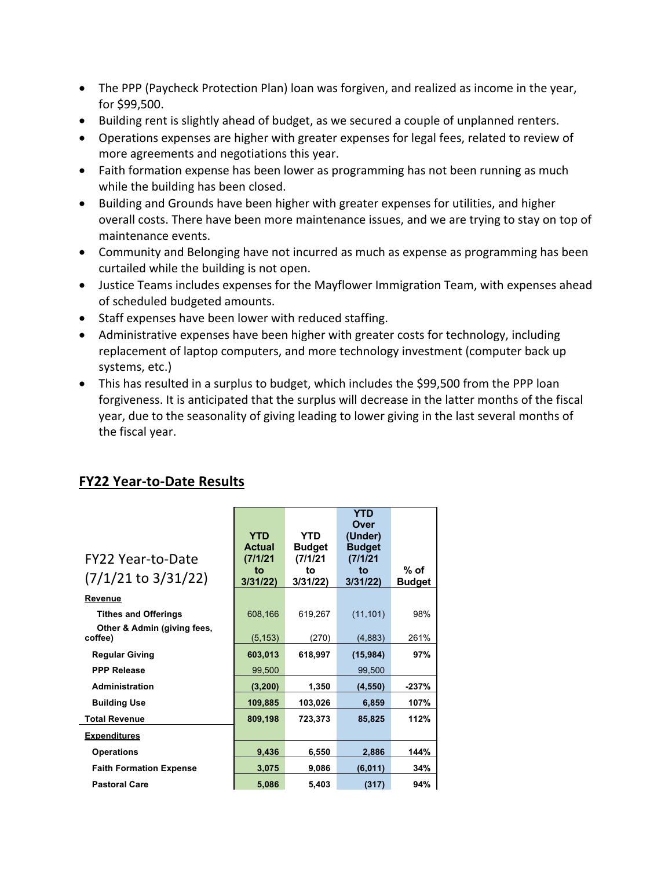- The PPP (Paycheck Protection Plan) loan was forgiven, and realized as income in the year, for \$99,500.
- Building rent is slightly ahead of budget, as we secured a couple of unplanned renters.
- Operations expenses are higher with greater expenses for legal fees, related to review of more agreements and negotiations this year.
- Faith formation expense has been lower as programming has not been running as much while the building has been closed.
- Building and Grounds have been higher with greater expenses for utilities, and higher overall costs. There have been more maintenance issues, and we are trying to stay on top of maintenance events.
- Community and Belonging have not incurred as much as expense as programming has been curtailed while the building is not open.
- Justice Teams includes expenses for the Mayflower Immigration Team, with expenses ahead of scheduled budgeted amounts.
- Staff expenses have been lower with reduced staffing.
- Administrative expenses have been higher with greater costs for technology, including replacement of laptop computers, and more technology investment (computer back up systems, etc.)
- This has resulted in a surplus to budget, which includes the \$99,500 from the PPP loan forgiveness. It is anticipated that the surplus will decrease in the latter months of the fiscal year, due to the seasonality of giving leading to lower giving in the last several months of the fiscal year.

| FY22 Year-to-Date<br>$(7/1/21$ to $3/31/22)$               | <b>YTD</b><br><b>Actual</b><br>(7/1/21)<br>to<br>3/31/22 | YTD<br><b>Budget</b><br>(7/1/21)<br>to<br>3/31/22 | <b>YTD</b><br><b>Over</b><br>(Under)<br><b>Budget</b><br>(7/1/21)<br>to<br>3/31/22 | $%$ of        |
|------------------------------------------------------------|----------------------------------------------------------|---------------------------------------------------|------------------------------------------------------------------------------------|---------------|
| Revenue                                                    |                                                          |                                                   |                                                                                    | <b>Budget</b> |
| <b>Tithes and Offerings</b><br>Other & Admin (giving fees, | 608,166                                                  | 619,267                                           | (11, 101)                                                                          | 98%           |
| coffee)                                                    | (5, 153)                                                 | (270)                                             | (4,883)                                                                            | 261%          |
| <b>Regular Giving</b>                                      | 603,013                                                  | 618,997                                           | (15, 984)                                                                          | 97%           |
| <b>PPP Release</b>                                         | 99,500                                                   |                                                   | 99,500                                                                             |               |
| Administration                                             | (3, 200)                                                 | 1,350                                             | (4, 550)                                                                           | $-237%$       |
| <b>Building Use</b>                                        | 109,885                                                  | 103,026                                           | 6,859                                                                              | 107%          |
| <b>Total Revenue</b>                                       | 809,198                                                  | 723,373                                           | 85,825                                                                             | 112%          |
| <b>Expenditures</b>                                        |                                                          |                                                   |                                                                                    |               |
| <b>Operations</b>                                          | 9,436                                                    | 6,550                                             | 2,886                                                                              | 144%          |
| <b>Faith Formation Expense</b>                             | 3,075                                                    | 9,086                                             | (6,011)                                                                            | 34%           |
| <b>Pastoral Care</b>                                       | 5,086                                                    | 5,403                                             | (317)                                                                              | 94%           |

# **FY22 Year-to-Date Results**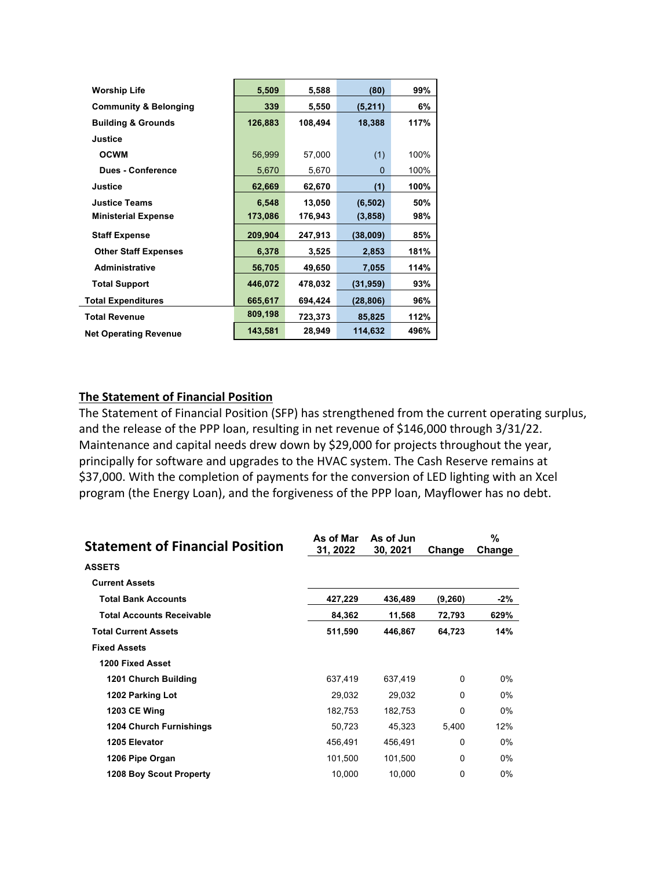| <b>Worship Life</b>              | 5,509   | 5,588   | (80)      | 99%  |
|----------------------------------|---------|---------|-----------|------|
| <b>Community &amp; Belonging</b> | 339     | 5,550   | (5,211)   | 6%   |
| <b>Building &amp; Grounds</b>    | 126,883 | 108,494 | 18,388    | 117% |
| Justice                          |         |         |           |      |
| <b>OCWM</b>                      | 56,999  | 57,000  | (1)       | 100% |
| <b>Dues - Conference</b>         | 5,670   | 5,670   | $\Omega$  | 100% |
| Justice                          | 62,669  | 62,670  | (1)       | 100% |
| Justice Teams                    | 6,548   | 13,050  | (6, 502)  | 50%  |
| <b>Ministerial Expense</b>       | 173,086 | 176,943 | (3, 858)  | 98%  |
| <b>Staff Expense</b>             | 209,904 | 247,913 | (38,009)  | 85%  |
| <b>Other Staff Expenses</b>      | 6,378   | 3,525   | 2,853     | 181% |
| <b>Administrative</b>            | 56,705  | 49,650  | 7,055     | 114% |
| <b>Total Support</b>             | 446,072 | 478,032 | (31,959)  | 93%  |
| <b>Total Expenditures</b>        | 665,617 | 694,424 | (28, 806) | 96%  |
| <b>Total Revenue</b>             | 809,198 | 723,373 | 85,825    | 112% |
| <b>Net Operating Revenue</b>     | 143,581 | 28,949  | 114,632   | 496% |

#### **The Statement of Financial Position**

The Statement of Financial Position (SFP) has strengthened from the current operating surplus, and the release of the PPP loan, resulting in net revenue of \$146,000 through 3/31/22. Maintenance and capital needs drew down by \$29,000 for projects throughout the year, principally for software and upgrades to the HVAC system. The Cash Reserve remains at \$37,000. With the completion of payments for the conversion of LED lighting with an Xcel program (the Energy Loan), and the forgiveness of the PPP loan, Mayflower has no debt.

| <b>Statement of Financial Position</b> | As of Mar<br>31, 2022 | As of Jun<br>30, 2021 | Change   | %<br>Change |
|----------------------------------------|-----------------------|-----------------------|----------|-------------|
| <b>ASSETS</b>                          |                       |                       |          |             |
| <b>Current Assets</b>                  |                       |                       |          |             |
| <b>Total Bank Accounts</b>             | 427,229               | 436,489               | (9,260)  | -2%         |
| <b>Total Accounts Receivable</b>       | 84,362                | 11,568                | 72,793   | 629%        |
| <b>Total Current Assets</b>            | 511,590               | 446,867               | 64,723   | 14%         |
| <b>Fixed Assets</b>                    |                       |                       |          |             |
| 1200 Fixed Asset                       |                       |                       |          |             |
| 1201 Church Building                   | 637,419               | 637.419               | $\Omega$ | $0\%$       |
| 1202 Parking Lot                       | 29,032                | 29,032                | 0        | $0\%$       |
| <b>1203 CE Wing</b>                    | 182,753               | 182,753               | 0        | $0\%$       |
| <b>1204 Church Furnishings</b>         | 50,723                | 45,323                | 5,400    | 12%         |
| 1205 Elevator                          | 456,491               | 456,491               | $\Omega$ | $0\%$       |
| 1206 Pipe Organ                        | 101,500               | 101,500               | 0        | $0\%$       |
| 1208 Boy Scout Property                | 10,000                | 10,000                | 0        | $0\%$       |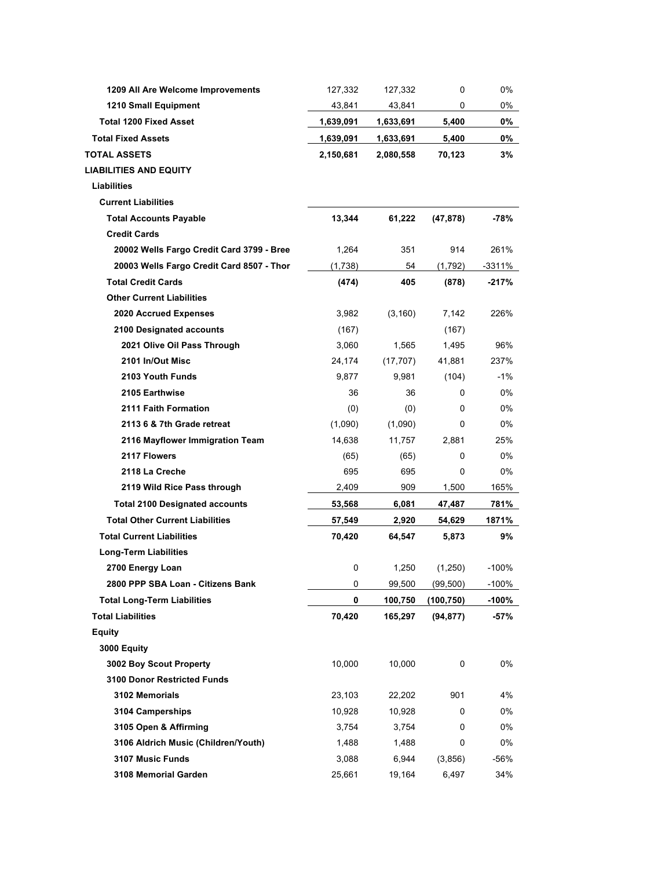| 1209 All Are Welcome Improvements         | 127,332   | 127,332   | 0          | 0%      |
|-------------------------------------------|-----------|-----------|------------|---------|
| 1210 Small Equipment                      | 43,841    | 43,841    | 0          | 0%      |
| <b>Total 1200 Fixed Asset</b>             | 1,639,091 | 1,633,691 | 5,400      | 0%      |
| <b>Total Fixed Assets</b>                 | 1,639,091 | 1,633,691 | 5,400      | 0%      |
| <b>TOTAL ASSETS</b>                       | 2,150,681 | 2,080,558 | 70,123     | 3%      |
| <b>LIABILITIES AND EQUITY</b>             |           |           |            |         |
| Liabilities                               |           |           |            |         |
| <b>Current Liabilities</b>                |           |           |            |         |
| <b>Total Accounts Payable</b>             | 13,344    | 61,222    | (47, 878)  | -78%    |
| <b>Credit Cards</b>                       |           |           |            |         |
| 20002 Wells Fargo Credit Card 3799 - Bree | 1,264     | 351       | 914        | 261%    |
| 20003 Wells Fargo Credit Card 8507 - Thor | (1,738)   | 54        | (1,792)    | -3311%  |
| <b>Total Credit Cards</b>                 | (474)     | 405       | (878)      | $-217%$ |
| <b>Other Current Liabilities</b>          |           |           |            |         |
| <b>2020 Accrued Expenses</b>              | 3,982     | (3, 160)  | 7,142      | 226%    |
| 2100 Designated accounts                  | (167)     |           | (167)      |         |
| 2021 Olive Oil Pass Through               | 3,060     | 1,565     | 1,495      | 96%     |
| 2101 In/Out Misc                          | 24,174    | (17, 707) | 41,881     | 237%    |
| 2103 Youth Funds                          | 9.877     | 9,981     | (104)      | $-1%$   |
| 2105 Earthwise                            | 36        | 36        | 0          | $0\%$   |
| 2111 Faith Formation                      | (0)       | (0)       | 0          | 0%      |
| 2113 6 & 7th Grade retreat                | (1,090)   | (1,090)   | 0          | 0%      |
| 2116 Mayflower Immigration Team           | 14,638    | 11,757    | 2,881      | 25%     |
| 2117 Flowers                              | (65)      | (65)      | 0          | 0%      |
| 2118 La Creche                            | 695       | 695       | 0          | 0%      |
| 2119 Wild Rice Pass through               | 2,409     | 909       | 1,500      | 165%    |
| <b>Total 2100 Designated accounts</b>     | 53,568    | 6,081     | 47,487     | 781%    |
| <b>Total Other Current Liabilities</b>    | 57,549    | 2,920     | 54,629     | 1871%   |
| <b>Total Current Liabilities</b>          | 70,420    | 64,547    | 5,873      | 9%      |
| <b>Long-Term Liabilities</b>              |           |           |            |         |
| 2700 Energy Loan                          | 0         | 1,250     | (1,250)    | $-100%$ |
| 2800 PPP SBA Loan - Citizens Bank         | 0         | 99,500    | (99, 500)  | $-100%$ |
| <b>Total Long-Term Liabilities</b>        | 0         | 100,750   | (100, 750) | $-100%$ |
| <b>Total Liabilities</b>                  | 70,420    | 165,297   | (94, 877)  | $-57%$  |
| Equity                                    |           |           |            |         |
| 3000 Equity                               |           |           |            |         |
| 3002 Boy Scout Property                   | 10,000    | 10,000    | 0          | 0%      |
| <b>3100 Donor Restricted Funds</b>        |           |           |            |         |
| 3102 Memorials                            | 23,103    | 22,202    | 901        | 4%      |
| 3104 Camperships                          | 10,928    | 10,928    | 0          | 0%      |
| 3105 Open & Affirming                     | 3,754     | 3,754     | 0          | 0%      |
| 3106 Aldrich Music (Children/Youth)       | 1,488     | 1,488     | 0          | 0%      |
| 3107 Music Funds                          | 3,088     | 6,944     | (3,856)    | -56%    |
| 3108 Memorial Garden                      | 25,661    | 19,164    | 6,497      | 34%     |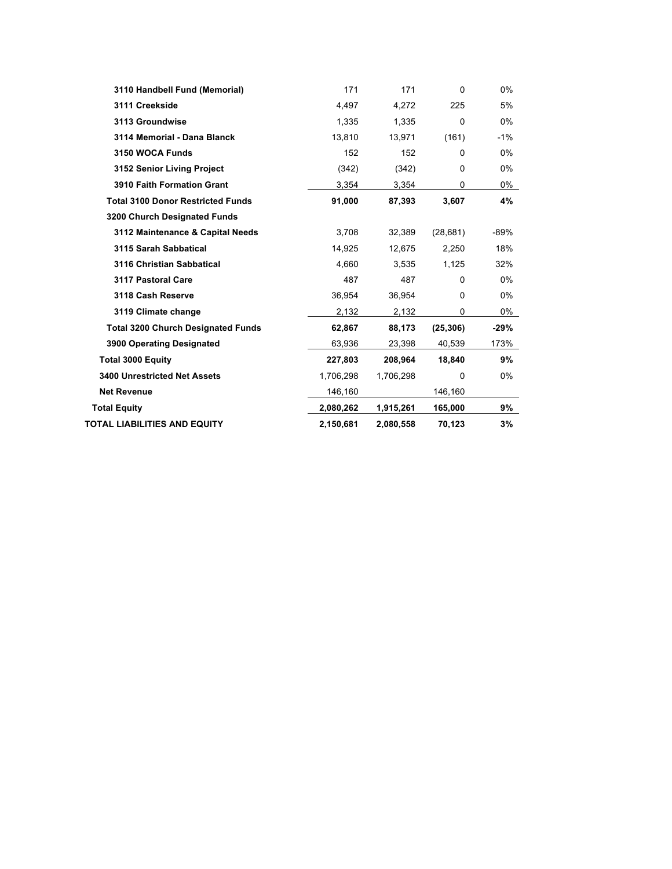| 3110 Handbell Fund (Memorial)             | 171       | 171       | $\Omega$  | 0%     |
|-------------------------------------------|-----------|-----------|-----------|--------|
| 3111 Creekside                            | 4,497     | 4,272     | 225       | 5%     |
| 3113 Groundwise                           | 1.335     | 1.335     | $\Omega$  | $0\%$  |
| 3114 Memorial - Dana Blanck               | 13,810    | 13,971    | (161)     | $-1%$  |
| 3150 WOCA Funds                           | 152       | 152       | $\Omega$  | 0%     |
| 3152 Senior Living Project                | (342)     | (342)     | $\Omega$  | 0%     |
| <b>3910 Faith Formation Grant</b>         | 3,354     | 3,354     | 0         | 0%     |
| <b>Total 3100 Donor Restricted Funds</b>  | 91,000    | 87,393    | 3,607     | 4%     |
| 3200 Church Designated Funds              |           |           |           |        |
| 3112 Maintenance & Capital Needs          | 3,708     | 32,389    | (28, 681) | $-89%$ |
| 3115 Sarah Sabbatical                     | 14,925    | 12,675    | 2,250     | 18%    |
| 3116 Christian Sabbatical                 | 4,660     | 3,535     | 1,125     | 32%    |
| 3117 Pastoral Care                        | 487       | 487       | $\Omega$  | $0\%$  |
| 3118 Cash Reserve                         | 36,954    | 36,954    | 0         | $0\%$  |
| 3119 Climate change                       | 2,132     | 2,132     | 0         | 0%     |
| <b>Total 3200 Church Designated Funds</b> | 62,867    | 88,173    | (25, 306) | -29%   |
| 3900 Operating Designated                 | 63,936    | 23,398    | 40,539    | 173%   |
| <b>Total 3000 Equity</b>                  | 227,803   | 208,964   | 18,840    | 9%     |
| <b>3400 Unrestricted Net Assets</b>       | 1,706,298 | 1,706,298 | $\Omega$  | 0%     |
| <b>Net Revenue</b>                        | 146,160   |           | 146,160   |        |
| <b>Total Equity</b>                       | 2,080,262 | 1,915,261 | 165,000   | 9%     |
| TOTAL LIABILITIES AND EQUITY              | 2,150,681 | 2,080,558 | 70,123    | 3%     |